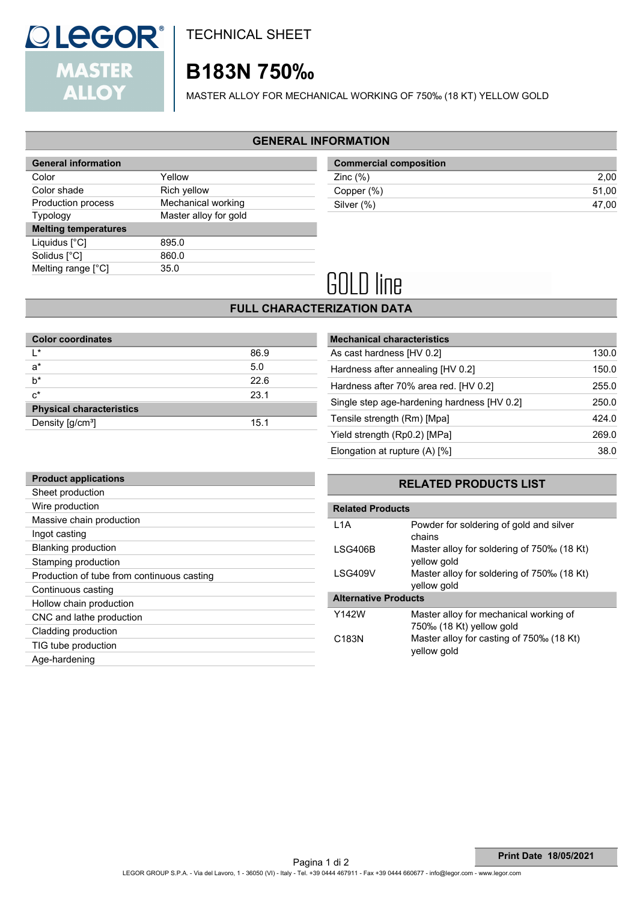

TECHNICAL SHEET

## **B183N 750‰**

MASTER ALLOY FOR MECHANICAL WORKING OF 750‰ (18 KT) YELLOW GOLD

#### **GENERAL INFORMATION**

| <b>General information</b>  |                       |  |
|-----------------------------|-----------------------|--|
| Color                       | Yellow                |  |
| Color shade                 | Rich yellow           |  |
| Production process          | Mechanical working    |  |
| Typology                    | Master alloy for gold |  |
| <b>Melting temperatures</b> |                       |  |
| Liquidus [°C]               | 895.0                 |  |
| Solidus [°C]                | 860.0                 |  |
| Melting range [°C]          | 35.0                  |  |
|                             |                       |  |

| <b>Commercial composition</b> |       |
|-------------------------------|-------|
| Zinc $(\%)$                   | 2.00  |
| Copper (%)                    | 51.00 |
| Silver (%)                    | 47.00 |
|                               |       |

# **GOLD line**

## **FULL CHARACTERIZATION DATA**

| <b>Color coordinates</b>        |      |
|---------------------------------|------|
| l*                              | 86.9 |
| $a^*$                           | 5.0  |
| $b^*$                           | 22.6 |
| $c^*$                           | 23.1 |
| <b>Physical characteristics</b> |      |
| Density $[g/cm^3]$              | 15.1 |

| <b>Mechanical characteristics</b>           |       |
|---------------------------------------------|-------|
| As cast hardness [HV 0.2]                   | 130.0 |
| Hardness after annealing [HV 0.2]           | 150.0 |
| Hardness after 70% area red. [HV 0.2]       | 255.0 |
| Single step age-hardening hardness [HV 0.2] | 250.0 |
| Tensile strength (Rm) [Mpa]                 | 424.0 |
| Yield strength (Rp0.2) [MPa]                | 269.0 |
| Elongation at rupture $(A)$ [%]             | 38.0  |
|                                             |       |

| <b>Product applications</b>                |
|--------------------------------------------|
| Sheet production                           |
| Wire production                            |
| Massive chain production                   |
| Ingot casting                              |
| <b>Blanking production</b>                 |
| Stamping production                        |
| Production of tube from continuous casting |
| Continuous casting                         |
| Hollow chain production                    |
| CNC and lathe production                   |
| Cladding production                        |
| TIG tube production                        |
| Age-hardening                              |

### **RELATED PRODUCTS LIST**

| <b>Related Products</b>     |                                                                    |  |
|-----------------------------|--------------------------------------------------------------------|--|
| 1 1 A                       | Powder for soldering of gold and silver<br>chains                  |  |
| LSG406B                     | Master alloy for soldering of 750‰ (18 Kt)<br>yellow gold          |  |
| <b>LSG409V</b>              | Master alloy for soldering of 750‰ (18 Kt)<br>yellow gold          |  |
| <b>Alternative Products</b> |                                                                    |  |
| Y142W                       | Master alloy for mechanical working of<br>750‰ (18 Kt) yellow gold |  |
| C <sub>183</sub> N          | Master alloy for casting of 750‰ (18 Kt)<br>yellow gold            |  |